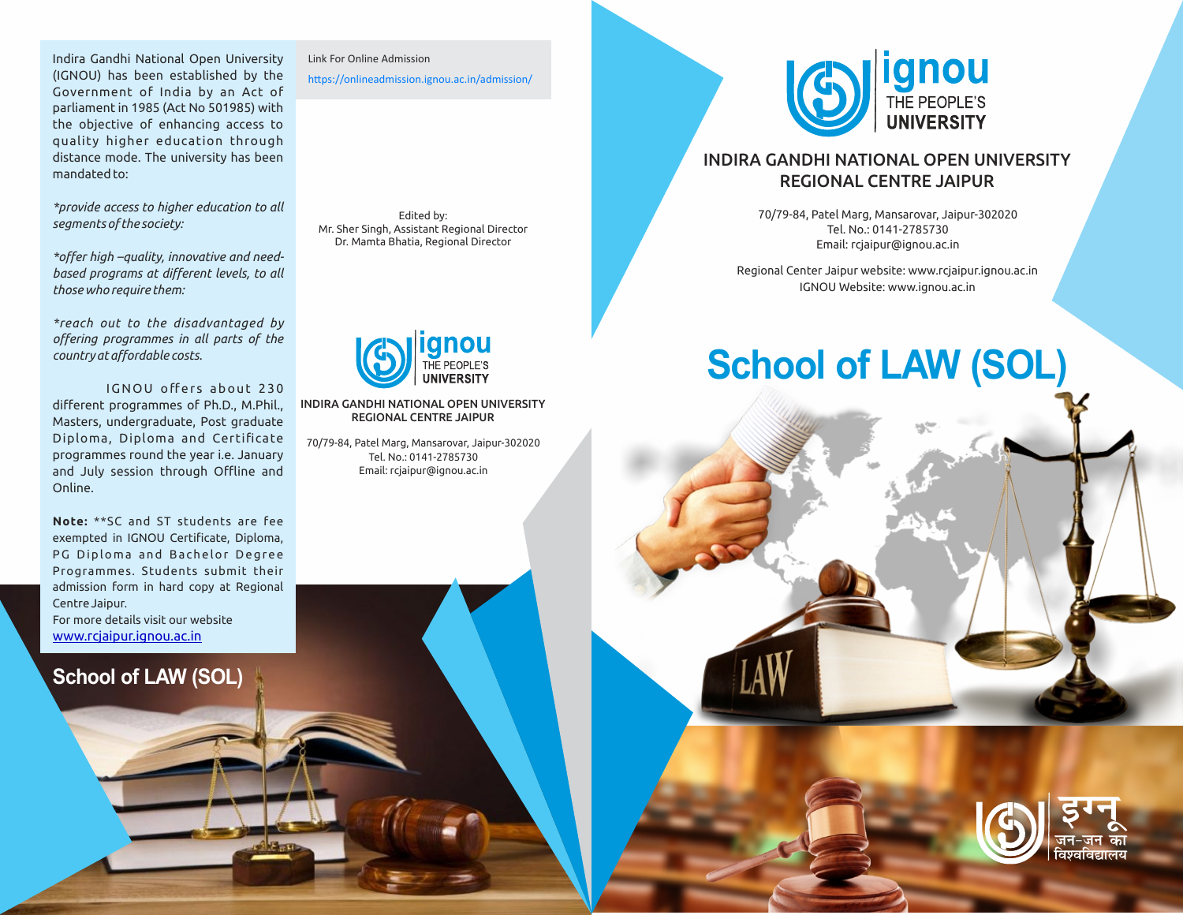Indira Gandhi National Open University (IGNOU) has been established by the Government of India by an Act of parliament in 1985 (Act No 501985) with the objective of enhancing access to quality higher education through distance mode. The university has been mandated to:

*\*provide access to higher education to all segments of the society:*

*\*offer high –quality, innovative and needbased programs at different levels, to all those who require them:*

*\*reach out to the disadvantaged by offering programmes in all parts of the country at affordable costs.*

IGNOU offers about 230 different programmes of Ph.D., M.Phil., Masters, undergraduate, Post graduate Diploma, Diploma and Certificate programmes round the year i.e. January and July session through Offline and Online.

For more details visit our website **Note:** \*\*SC and ST students are fee exempted in IGNOU Certificate, Diploma, PG Diploma and Bachelor Degree Programmes. Students submit their admission form in hard copy at Regional Centre Jaipur.

www.rcjaipur.ignou.ac.in

## **School of LAW (SOL)**

Link For Online Admission

https://onlineadmission.ignou.ac.in/admission/

Edited by: Mr. Sher Singh, Assistant Regional Director Dr. Mamta Bhatia, Regional Director



INDIRA GANDHI NATIONAL OPEN UNIVERSITY REGIONAL CENTRE JAIPUR

70/79-84, Patel Marg, Mansarovar, Jaipur-302020 Tel. No.: 0141-2785730 Email: rcjaipur@ignou.ac.in



## INDIRA GANDHI NATIONAL OPEN UNIVERSITY REGIONAL CENTRE JAIPUR

70/79-84, Patel Marg, Mansarovar, Jaipur-302020 Tel. No.: 0141-2785730 Email: rcjaipur@ignou.ac.in

Regional Center Jaipur website: www.rcjaipur.ignou.ac.in IGNOU Website: www.ignou.ac.in

## **School of LAW (SOL)**